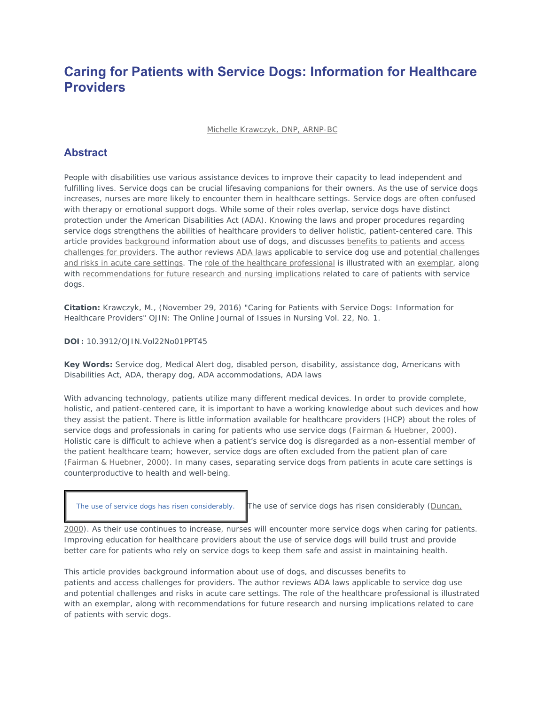# **Caring for Patients with Service Dogs: Information for Healthcare Providers**

Michelle Krawczyk, DNP, ARNP-BC

# **Abstract**

People with disabilities use various assistance devices to improve their capacity to lead independent and fulfilling lives. Service dogs can be crucial lifesaving companions for their owners. As the use of service dogs increases, nurses are more likely to encounter them in healthcare settings. Service dogs are often confused with therapy or emotional support dogs. While some of their roles overlap, service dogs have distinct protection under the American Disabilities Act (ADA). Knowing the laws and proper procedures regarding service dogs strengthens the abilities of healthcare providers to deliver holistic, patient-centered care. This article provides background information about use of dogs, and discusses benefits to patients and access challenges for providers. The author reviews ADA laws applicable to service dog use and potential challenges and risks in acute care settings. The role of the healthcare professional is illustrated with an exemplar, along with recommendations for future research and nursing implications related to care of patients with service dogs.

**Citation:** Krawczyk, M., (November 29, 2016) "Caring for Patients with Service Dogs: Information for Healthcare Providers" *OJIN: The Online Journal of Issues in Nursing* Vol. 22, No. 1.

#### **DOI:** 10.3912/OJIN.Vol22No01PPT45

**Key Words:** Service dog, Medical Alert dog, disabled person, disability, assistance dog, Americans with Disabilities Act, ADA, therapy dog, ADA accommodations, ADA laws

With advancing technology, patients utilize many different medical devices. In order to provide complete, holistic, and patient-centered care, it is important to have a working knowledge about such devices and how they assist the patient. There is little information available for healthcare providers (HCP) about the roles of service dogs and professionals in caring for patients who use service dogs (Fairman & Huebner, 2000). Holistic care is difficult to achieve when a patient's service dog is disregarded as a non-essential member of the patient healthcare team; however, service dogs are often excluded from the patient plan of care (Fairman & Huebner, 2000). In many cases, separating service dogs from patients in acute care settings is counterproductive to health and well-being.

The use of service dogs has risen considerably. The use of service dogs has risen considerably (Duncan,

2000). As their use continues to increase, nurses will encounter more service dogs when caring for patients. Improving education for healthcare providers about the use of service dogs will build trust and provide better care for patients who rely on service dogs to keep them safe and assist in maintaining health.

This article provides background information about use of dogs, and discusses benefits to patients and access challenges for providers. The author reviews ADA laws applicable to service dog use and potential challenges and risks in acute care settings. The role of the healthcare professional is illustrated with an exemplar, along with recommendations for future research and nursing implications related to care of patients with servic dogs.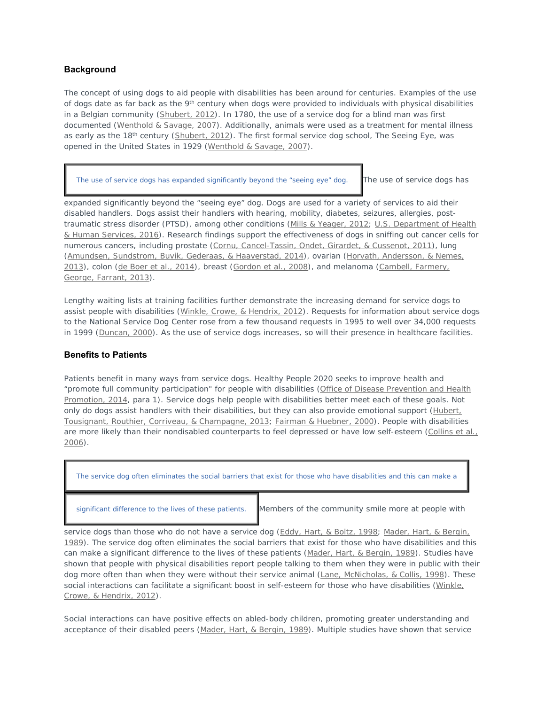#### **Background**

The concept of using dogs to aid people with disabilities has been around for centuries. Examples of the use of dogs date as far back as the  $9<sup>th</sup>$  century when dogs were provided to individuals with physical disabilities in a Belgian community (Shubert, 2012). In 1780, the use of a service dog for a blind man was first documented (Wenthold & Savage, 2007). Additionally, animals were used as a treatment for mental illness as early as the 18<sup>th</sup> century (Shubert, 2012). The first formal service dog school, The Seeing Eye, was opened in the United States in 1929 (Wenthold & Savage, 2007).

The use of service dogs has expanded significantly beyond the "seeing eye" dog. The use of service dogs has

expanded significantly beyond the "seeing eye" dog. Dogs are used for a variety of services to aid their disabled handlers. Dogs assist their handlers with hearing, mobility, diabetes, seizures, allergies, posttraumatic stress disorder (PTSD), among other conditions (Mills & Yeager, 2012; U.S. Department of Health & Human Services, 2016). Research findings support the effectiveness of dogs in sniffing out cancer cells for numerous cancers, including prostate (Cornu, Cancel-Tassin, Ondet, Girardet, & Cussenot, 2011), lung (Amundsen, Sundstrom, Buvik, Gederaas, & Haaverstad, 2014), ovarian (Horvath, Andersson, & Nemes, 2013), colon (de Boer et al., 2014), breast (Gordon et al., 2008), and melanoma (Cambell, Farmery, George, Farrant, 2013).

Lengthy waiting lists at training facilities further demonstrate the increasing demand for service dogs to assist people with disabilities (Winkle, Crowe, & Hendrix, 2012). Requests for information about service dogs to the National Service Dog Center rose from a few thousand requests in 1995 to well over 34,000 requests in 1999 (Duncan, 2000). As the use of service dogs increases, so will their presence in healthcare facilities.

#### **Benefits to Patients**

Patients benefit in many ways from service dogs. Healthy People 2020 seeks to improve health and "promote full community participation" for people with disabilities (Office of Disease Prevention and Health Promotion, 2014, para 1). Service dogs help people with disabilities better meet each of these goals. Not only do dogs assist handlers with their disabilities, but they can also provide emotional support (Hubert, Tousignant, Routhier, Corriveau, & Champagne, 2013; Fairman & Huebner, 2000). People with disabilities are more likely than their nondisabled counterparts to feel depressed or have low self-esteem (Collins et al., 2006).

The service dog often eliminates the social barriers that exist for those who have disabilities and this can make a

significant difference to the lives of these patients. Members of the community smile more at people with

service dogs than those who do not have a service dog (Eddy, Hart, & Boltz, 1998; Mader, Hart, & Bergin, 1989). The service dog often eliminates the social barriers that exist for those who have disabilities and this can make a significant difference to the lives of these patients (Mader, Hart, & Bergin, 1989). Studies have shown that people with physical disabilities report people talking to them when they were in public with their dog more often than when they were without their service animal (Lane, McNicholas, & Collis, 1998). These social interactions can facilitate a significant boost in self-esteem for those who have disabilities (Winkle, Crowe, & Hendrix, 2012).

Social interactions can have positive effects on abled-body children, promoting greater understanding and acceptance of their disabled peers (Mader, Hart, & Bergin, 1989). Multiple studies have shown that service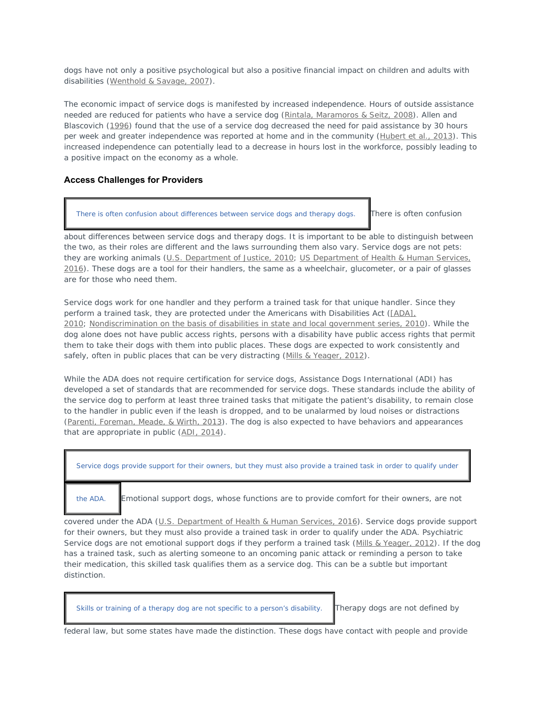dogs have not only a positive psychological but also a positive financial impact on children and adults with disabilities (Wenthold & Savage, 2007).

The economic impact of service dogs is manifested by increased independence. Hours of outside assistance needed are reduced for patients who have a service dog (Rintala, Maramoros & Seitz, 2008). Allen and Blascovich (1996) found that the use of a service dog decreased the need for paid assistance by 30 hours per week and greater independence was reported at home and in the community (Hubert et al., 2013). This increased independence can potentially lead to a decrease in hours lost in the workforce, possibly leading to a positive impact on the economy as a whole.

#### **Access Challenges for Providers**

There is often confusion about differences between service dogs and therapy dogs. There is often confusion

about differences between service dogs and therapy dogs. It is important to be able to distinguish between the two, as their roles are different and the laws surrounding them also vary. Service dogs are not pets: they are working animals (U.S. Department of Justice, 2010; US Department of Health & Human Services, 2016). These dogs are a tool for their handlers, the same as a wheelchair, glucometer, or a pair of glasses are for those who need them.

Service dogs work for one handler and they perform a trained task for that unique handler. Since they perform a trained task, they are protected under the Americans with Disabilities Act ([ADA], 2010; Nondiscrimination on the basis of disabilities in state and local government series, 2010). While the dog alone does not have public access rights, persons with a disability have public access rights that permit them to take their dogs with them into public places. These dogs are expected to work consistently and safely, often in public places that can be very distracting (Mills & Yeager, 2012).

While the ADA does not require certification for service dogs, Assistance Dogs International (ADI) has developed a set of standards that are recommended for service dogs. These standards include the ability of the service dog to perform at least three trained tasks that mitigate the patient's disability, to remain close to the handler in public even if the leash is dropped, and to be unalarmed by loud noises or distractions (Parenti, Foreman, Meade, & Wirth, 2013). The dog is also expected to have behaviors and appearances that are appropriate in public (ADI, 2014).



covered under the ADA (U.S. Department of Health & Human Services, 2016). Service dogs provide support for their owners, but they must also provide a trained task in order to qualify under the ADA. Psychiatric Service dogs are not emotional support dogs if they perform a trained task (Mills & Yeager, 2012). If the dog has a trained task, such as alerting someone to an oncoming panic attack or reminding a person to take their medication, this skilled task qualifies them as a service dog. This can be a subtle but important distinction.

Skills or training of a therapy dog are not specific to a person's disability. Therapy dogs are not defined by

federal law, but some states have made the distinction. These dogs have contact with people and provide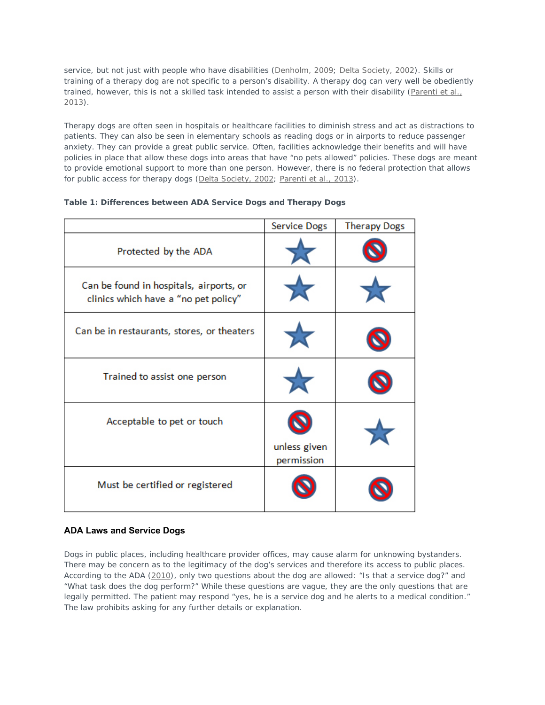service, but not just with people who have disabilities (Denholm, 2009; Delta Society, 2002). Skills or training of a therapy dog are not specific to a person's disability. A therapy dog can very well be obediently trained, however, this is not a skilled task intended to assist a person with their disability (Parenti et al., 2013).

Therapy dogs are often seen in hospitals or healthcare facilities to diminish stress and act as distractions to patients. They can also be seen in elementary schools as reading dogs or in airports to reduce passenger anxiety. They can provide a great public service. Often, facilities acknowledge their benefits and will have policies in place that allow these dogs into areas that have "no pets allowed" policies. These dogs are meant to provide emotional support to more than one person. However, there is no federal protection that allows for public access for therapy dogs (Delta Society, 2002; Parenti et al., 2013).

|                                                                                 | <b>Service Dogs</b>        | <b>Therapy Dogs</b> |
|---------------------------------------------------------------------------------|----------------------------|---------------------|
| Protected by the ADA                                                            |                            |                     |
| Can be found in hospitals, airports, or<br>clinics which have a "no pet policy" |                            |                     |
| Can be in restaurants, stores, or theaters                                      |                            |                     |
| Trained to assist one person                                                    |                            |                     |
| Acceptable to pet or touch                                                      | unless given<br>permission |                     |
| Must be certified or registered                                                 |                            |                     |

#### **Table 1: Differences between ADA Service Dogs and Therapy Dogs**

#### **ADA Laws and Service Dogs**

Dogs in public places, including healthcare provider offices, may cause alarm for unknowing bystanders. There may be concern as to the legitimacy of the dog's services and therefore its access to public places. According to the ADA (2010), only two questions about the dog are allowed: "Is that a service dog?" and "What task does the dog perform?" While these questions are vague, they are the only questions that are legally permitted. The patient may respond "yes, he is a service dog and he alerts to a medical condition." The law prohibits asking for any further details or explanation.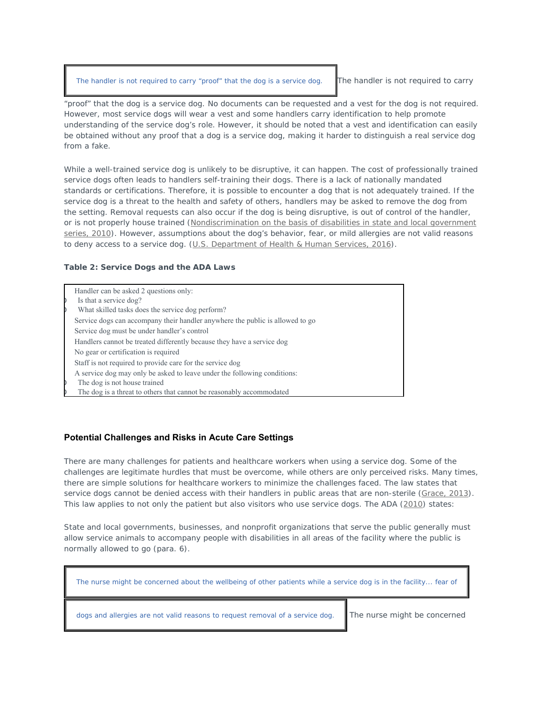The handler is not required to carry "proof" that the dog is a service dog. The handler is not required to carry

"proof" that the dog is a service dog. No documents can be requested and a vest for the dog is not required. However, most service dogs will wear a vest and some handlers carry identification to help promote understanding of the service dog's role. However, it should be noted that a vest and identification can easily be obtained without any proof that a dog is a service dog, making it harder to distinguish a real service dog from a fake.

While a well-trained service dog is unlikely to be disruptive, it can happen. The cost of professionally trained service dogs often leads to handlers self-training their dogs. There is a lack of nationally mandated standards or certifications. Therefore, it is possible to encounter a dog that is not adequately trained. If the service dog is a threat to the health and safety of others, handlers may be asked to remove the dog from the setting. Removal requests can also occur if the dog is being disruptive, is out of control of the handler, or is not properly house trained (Nondiscrimination on the basis of disabilities in state and local government series, 2010). However, assumptions about the dog's behavior, fear, or mild allergies are not valid reasons to deny access to a service dog. (U.S. Department of Health & Human Services, 2016).

#### **Table 2: Service Dogs and the ADA Laws**

Handler can be asked 2 questions only: Is that a service dog? What skilled tasks does the service dog perform? Service dogs can accompany their handler anywhere the public is allowed to go Service dog must be under handler's control Handlers cannot be treated differently because they have a service dog No gear or certification is required Staff is not required to provide care for the service dog A service dog may only be asked to leave under the following conditions: The dog is not house trained The dog is a threat to others that cannot be reasonably accommodated

### **Potential Challenges and Risks in Acute Care Settings**

There are many challenges for patients and healthcare workers when using a service dog. Some of the challenges are legitimate hurdles that must be overcome, while others are only perceived risks. Many times, there are simple solutions for healthcare workers to minimize the challenges faced. The law states that service dogs cannot be denied access with their handlers in public areas that are non-sterile (Grace, 2013). This law applies to not only the patient but also visitors who use service dogs. The ADA (2010) states:

State and local governments, businesses, and nonprofit organizations that serve the public generally must allow service animals to accompany people with disabilities in all areas of the facility where the public is normally allowed to go (para. 6).

| The nurse might be concerned about the wellbeing of other patients while a service dog is in the facility fear of |                              |  |
|-------------------------------------------------------------------------------------------------------------------|------------------------------|--|
| dogs and allergies are not valid reasons to request removal of a service dog.                                     | The nurse might be concerned |  |
|                                                                                                                   |                              |  |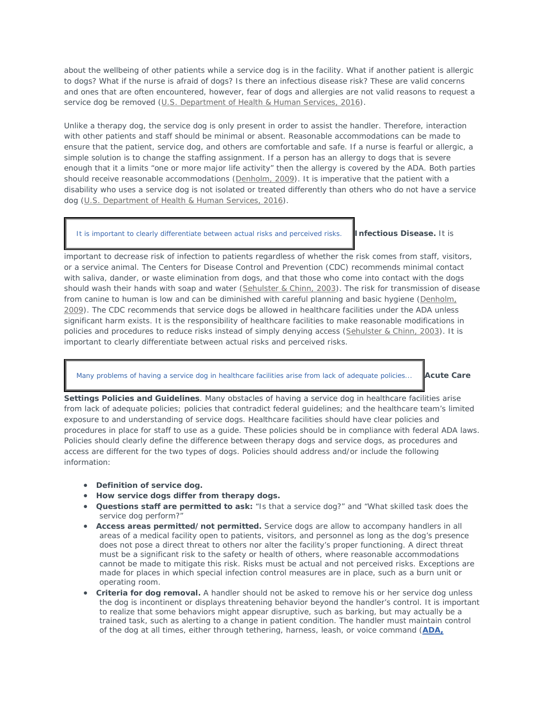about the wellbeing of other patients while a service dog is in the facility. What if another patient is allergic to dogs? What if the nurse is afraid of dogs? Is there an infectious disease risk? These are valid concerns and ones that are often encountered, however, fear of dogs and allergies are not valid reasons to request a service dog be removed (U.S. Department of Health & Human Services, 2016).

Unlike a therapy dog, the service dog is only present in order to assist the handler. Therefore, interaction with other patients and staff should be minimal or absent. Reasonable accommodations can be made to ensure that the patient, service dog, and others are comfortable and safe. If a nurse is fearful or allergic, a simple solution is to change the staffing assignment. If a person has an allergy to dogs that is severe enough that it a limits "one or more major life activity" then the allergy is covered by the ADA. Both parties should receive reasonable accommodations (Denholm, 2009). It is imperative that the patient with a disability who uses a service dog is not isolated or treated differently than others who do not have a service dog (U.S. Department of Health & Human Services, 2016).

#### It is important to clearly differentiate between actual risks and perceived risks. **Infectious Disease.** It is

important to decrease risk of infection to patients regardless of whether the risk comes from staff, visitors, or a service animal. The Centers for Disease Control and Prevention (CDC) recommends minimal contact with saliva, dander, or waste elimination from dogs, and that those who come into contact with the dogs should wash their hands with soap and water (Sehulster & Chinn, 2003). The risk for transmission of disease from canine to human is low and can be diminished with careful planning and basic hygiene (Denholm, 2009). The CDC recommends that service dogs be allowed in healthcare facilities under the ADA unless significant harm exists. It is the responsibility of healthcare facilities to make reasonable modifications in policies and procedures to reduce risks instead of simply denying access (Sehulster & Chinn, 2003). It is important to clearly differentiate between actual risks and perceived risks.

#### Many problems of having a service dog in healthcare facilities arise from lack of adequate policies... **Acute Care**

**Settings Policies and Guidelines**. Many obstacles of having a service dog in healthcare facilities arise from lack of adequate policies; policies that contradict federal guidelines; and the healthcare team's limited exposure to and understanding of service dogs. Healthcare facilities should have clear policies and procedures in place for staff to use as a guide. These policies should be in compliance with federal ADA laws. Policies should clearly define the difference between therapy dogs and service dogs, as procedures and access are different for the two types of dogs. Policies should address and/or include the following information:

- **Definition of service dog.**
- **How service dogs differ from therapy dogs.**
- **Questions staff are permitted to ask:** "Is that a service dog?" and "What skilled task does the service dog perform?"
- **Access areas permitted/not permitted.** Service dogs are allow to accompany handlers in all areas of a medical facility open to patients, visitors, and personnel as long as the dog's presence does not pose a direct threat to others nor alter the facility's proper functioning. A direct threat must be a significant risk to the safety or health of others, where reasonable accommodations cannot be made to mitigate this risk. Risks must be actual and not perceived risks. Exceptions are made for places in which special infection control measures are in place, such as a burn unit or operating room.
- **Criteria for dog removal.** A handler should not be asked to remove his or her service dog unless the dog is incontinent or displays threatening behavior beyond the handler's control. It is important to realize that some behaviors might appear disruptive, such as barking, but may actually be a trained task, such as alerting to a change in patient condition. The handler must maintain control of the dog at all times, either through tethering, harness, leash, or voice command (**ADA,**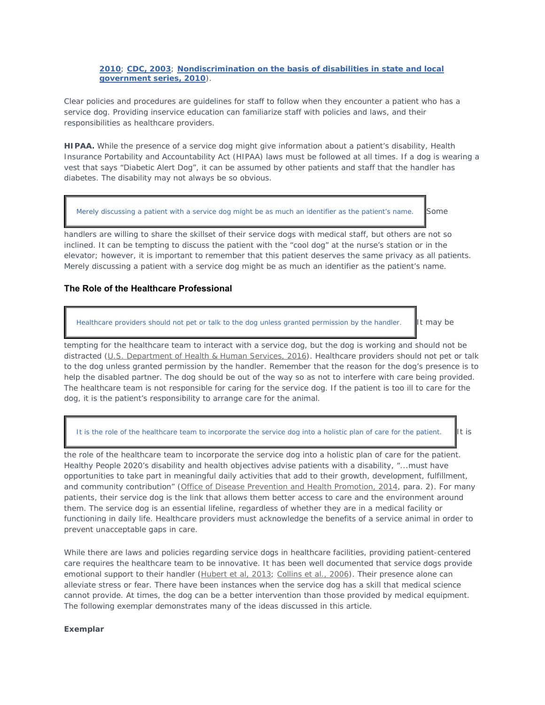#### **2010**; **CDC, 2003**; **Nondiscrimination on the basis of disabilities in state and local government series, 2010**).

Clear policies and procedures are guidelines for staff to follow when they encounter a patient who has a service dog. Providing inservice education can familiarize staff with policies and laws, and their responsibilities as healthcare providers.

**HIPAA.** While the presence of a service dog might give information about a patient's disability, Health Insurance Portability and Accountability Act (HIPAA) laws must be followed at all times. If a dog is wearing a vest that says "Diabetic Alert Dog", it can be assumed by other patients and staff that the handler has diabetes. The disability may not always be so obvious.

Merely discussing a patient with a service dog might be as much an identifier as the patient's name.  $\Box$  Some

handlers are willing to share the skillset of their service dogs with medical staff, but others are not so inclined. It can be tempting to discuss the patient with the "cool dog" at the nurse's station or in the elevator; however, it is important to remember that this patient deserves the same privacy as all patients. Merely discussing a patient with a service dog might be as much an identifier as the patient's name.

### **The Role of the Healthcare Professional**

Healthcare providers should not pet or talk to the dog unless granted permission by the handler. It may be

tempting for the healthcare team to interact with a service dog, but the dog is working and should not be distracted (U.S. Department of Health & Human Services, 2016). Healthcare providers should not pet or talk to the dog unless granted permission by the handler. Remember that the reason for the dog's presence is to help the disabled partner. The dog should be out of the way so as not to interfere with care being provided. The healthcare team is not responsible for caring for the service dog. If the patient is too ill to care for the dog, it is the patient's responsibility to arrange care for the animal.

It is the role of the healthcare team to incorporate the service dog into a holistic plan of care for the patient.

the role of the healthcare team to incorporate the service dog into a holistic plan of care for the patient. Healthy People 2020's disability and health objectives advise patients with a disability, "...must have opportunities to take part in meaningful daily activities that add to their growth, development, fulfillment, and community contribution" (Office of Disease Prevention and Health Promotion, 2014, para. 2). For many patients, their service dog is the link that allows them better access to care and the environment around them. The service dog is an essential lifeline, regardless of whether they are in a medical facility or functioning in daily life. Healthcare providers must acknowledge the benefits of a service animal in order to prevent unacceptable gaps in care.

While there are laws and policies regarding service dogs in healthcare facilities, providing patient-centered care requires the healthcare team to be innovative. It has been well documented that service dogs provide emotional support to their handler (Hubert et al, 2013; Collins et al., 2006). Their presence alone can alleviate stress or fear. There have been instances when the service dog has a skill that medical science cannot provide. At times, the dog can be a better intervention than those provided by medical equipment. The following exemplar demonstrates many of the ideas discussed in this article.

#### *Exemplar*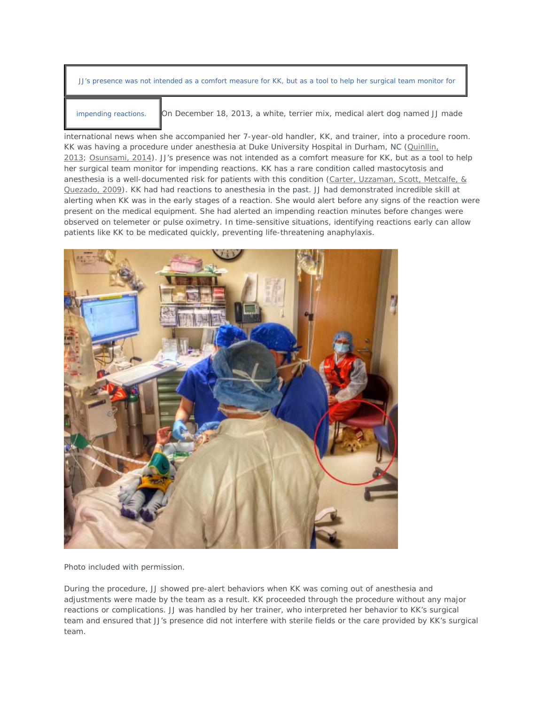JJ's presence was not intended as a comfort measure for KK, but as a tool to help her surgical team monitor for

impending reactions. On December 18, 2013, a white, terrier mix, medical alert dog named JJ made

international news when she accompanied her 7-year-old handler, KK, and trainer, into a procedure room. KK was having a procedure under anesthesia at Duke University Hospital in Durham, NC (Quinllin, 2013; Osunsami, 2014). JJ's presence was not intended as a comfort measure for KK, but as a tool to help her surgical team monitor for impending reactions. KK has a rare condition called mastocytosis and anesthesia is a well-documented risk for patients with this condition (Carter, Uzzaman, Scott, Metcalfe, & Quezado, 2009). KK had had reactions to anesthesia in the past. JJ had demonstrated incredible skill at alerting when KK was in the early stages of a reaction. She would alert before any signs of the reaction were present on the medical equipment. She had alerted an impending reaction minutes before changes were observed on telemeter or pulse oximetry. In time-sensitive situations, identifying reactions early can allow patients like KK to be medicated quickly, preventing life-threatening anaphylaxis.



Photo included with permission.

During the procedure, JJ showed pre-alert behaviors when KK was coming out of anesthesia and adjustments were made by the team as a result. KK proceeded through the procedure without any major reactions or complications. JJ was handled by her trainer, who interpreted her behavior to KK's surgical team and ensured that JJ's presence did not interfere with sterile fields or the care provided by KK's surgical team.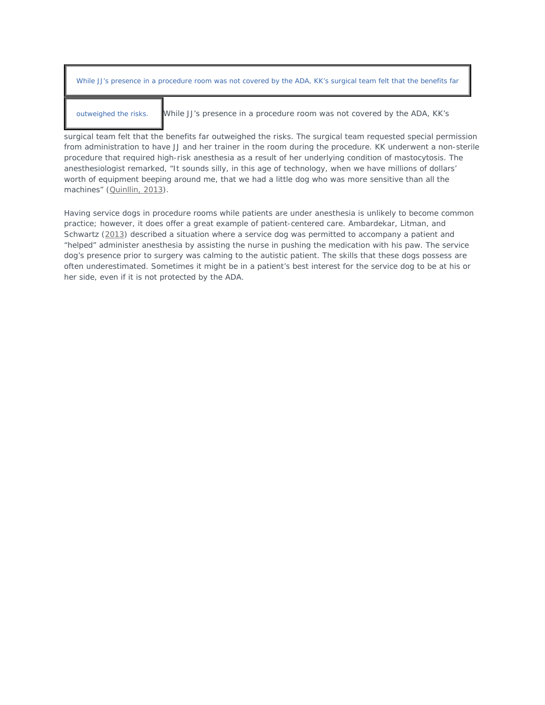| While JJ's presence in a procedure room was not covered by the ADA, KK's surgical team felt that the benefits far |                                                                          |  |
|-------------------------------------------------------------------------------------------------------------------|--------------------------------------------------------------------------|--|
| outweighed the risks.                                                                                             | While JJ's presence in a procedure room was not covered by the ADA, KK's |  |

surgical team felt that the benefits far outweighed the risks. The surgical team requested special permission from administration to have JJ and her trainer in the room during the procedure. KK underwent a non-sterile procedure that required high-risk anesthesia as a result of her underlying condition of mastocytosis. The anesthesiologist remarked, "It sounds silly, in this age of technology, when we have millions of dollars' worth of equipment beeping around me, that we had a little dog who was more sensitive than all the machines" (Quinllin, 2013).

Having service dogs in procedure rooms while patients are under anesthesia is unlikely to become common practice; however, it does offer a great example of patient-centered care. Ambardekar, Litman, and Schwartz (2013) described a situation where a service dog was permitted to accompany a patient and "helped" administer anesthesia by assisting the nurse in pushing the medication with his paw. The service dog's presence prior to surgery was calming to the autistic patient. The skills that these dogs possess are often underestimated. Sometimes it might be in a patient's best interest for the service dog to be at his or her side, even if it is not protected by the ADA.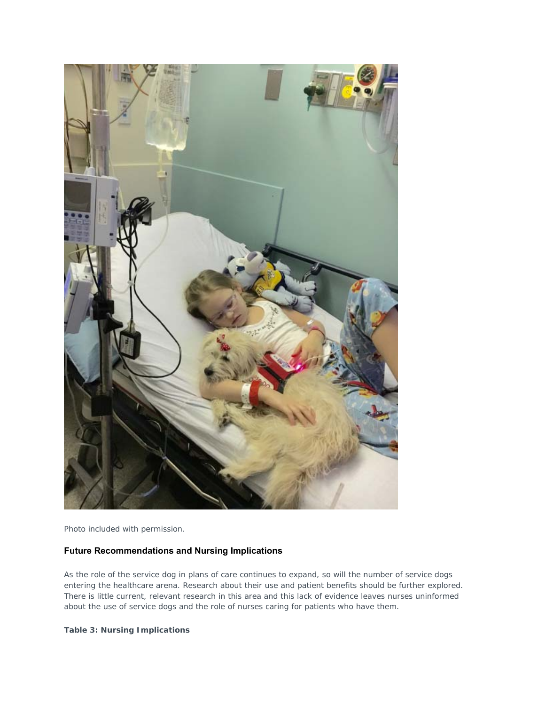

Photo included with permission.

# **Future Recommendations and Nursing Implications**

As the role of the service dog in plans of care continues to expand, so will the number of service dogs entering the healthcare arena. Research about their use and patient benefits should be further explored. There is little current, relevant research in this area and this lack of evidence leaves nurses uninformed about the use of service dogs and the role of nurses caring for patients who have them.

**Table 3: Nursing Implications**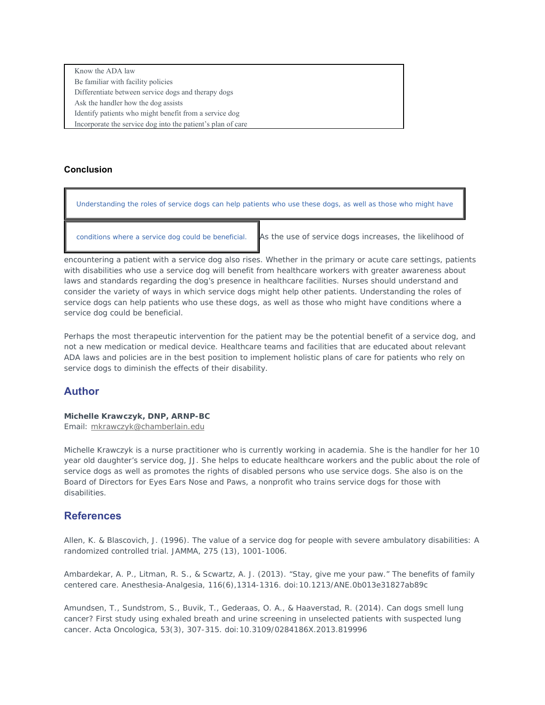Know the ADA law Be familiar with facility policies Differentiate between service dogs and therapy dogs Ask the handler how the dog assists Identify patients who might benefit from a service dog Incorporate the service dog into the patient's plan of care

## **Conclusion**

Understanding the roles of service dogs can help patients who use these dogs, as well as those who might have

conditions where a service dog could be beneficial. As the use of service dogs increases, the likelihood of

encountering a patient with a service dog also rises. Whether in the primary or acute care settings, patients with disabilities who use a service dog will benefit from healthcare workers with greater awareness about laws and standards regarding the dog's presence in healthcare facilities. Nurses should understand and consider the variety of ways in which service dogs might help other patients. Understanding the roles of service dogs can help patients who use these dogs, as well as those who might have conditions where a service dog could be beneficial.

Perhaps the most therapeutic intervention for the patient may be the potential benefit of a service dog, and not a new medication or medical device. Healthcare teams and facilities that are educated about relevant ADA laws and policies are in the best position to implement holistic plans of care for patients who rely on service dogs to diminish the effects of their disability.

# **Author**

# **Michelle Krawczyk, DNP, ARNP-BC**

Email: mkrawczyk@chamberlain.edu

Michelle Krawczyk is a nurse practitioner who is currently working in academia. She is the handler for her 10 year old daughter's service dog, JJ. She helps to educate healthcare workers and the public about the role of service dogs as well as promotes the rights of disabled persons who use service dogs. She also is on the Board of Directors for Eyes Ears Nose and Paws, a nonprofit who trains service dogs for those with disabilities.

# **References**

Allen, K. & Blascovich, J. (1996). The value of a service dog for people with severe ambulatory disabilities: A randomized controlled trial. *JAMMA, 275* (13), 1001-1006.

Ambardekar, A. P., Litman, R. S., & Scwartz, A. J. (2013). "Stay, give me your paw." The benefits of family centered care. *Anesthesia-Analgesia, 116*(6),1314-1316. doi:10.1213/ANE.0b013e31827ab89c

Amundsen, T., Sundstrom, S., Buvik, T., Gederaas, O. A., & Haaverstad, R. (2014). Can dogs smell lung cancer? First study using exhaled breath and urine screening in unselected patients with suspected lung cancer. *Acta Oncologica, 53*(3), 307-315. doi:10.3109/0284186X.2013.819996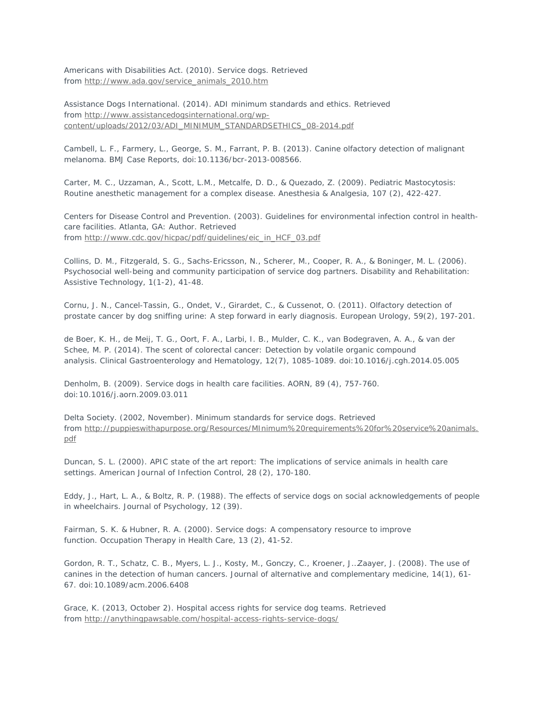Americans with Disabilities Act. (2010). *Service dogs*. Retrieved from http://www.ada.gov/service\_animals\_2010.htm

Assistance Dogs International. (2014). ADI minimum standards and ethics. Retrieved from http://www.assistancedogsinternational.org/wpcontent/uploads/2012/03/ADI\_MINIMUM\_STANDARDSETHICS\_08-2014.pdf

Cambell, L. F., Farmery, L., George, S. M., Farrant, P. B. (2013). Canine olfactory detection of malignant melanoma. *BMJ Case Reports,* doi:10.1136/bcr-2013-008566.

Carter, M. C., Uzzaman, A., Scott, L.M., Metcalfe, D. D., & Quezado, Z. (2009). Pediatric Mastocytosis: Routine anesthetic management for a complex disease. *Anesthesia & Analgesia, 107* (2), 422-427.

Centers for Disease Control and Prevention. (2003). Guidelines for environmental infection control in healthcare facilities. Atlanta, GA: Author. Retrieved from http://www.cdc.gov/hicpac/pdf/guidelines/eic\_in\_HCF\_03.pdf

Collins, D. M., Fitzgerald, S. G., Sachs-Ericsson, N., Scherer, M., Cooper, R. A., & Boninger, M. L. (2006). Psychosocial well-being and community participation of service dog partners. *Disability and Rehabilitation: Assistive Technology, 1*(1-2), 41-48.

Cornu, J. N., Cancel-Tassin, G., Ondet, V., Girardet, C., & Cussenot, O. (2011). Olfactory detection of prostate cancer by dog sniffing urine: A step forward in early diagnosis. *European Urology, 59*(2), 197-201.

de Boer, K. H., de Meij, T. G., Oort, F. A., Larbi, I. B., Mulder, C. K., van Bodegraven, A. A., & van der Schee, M. P. (2014). The scent of colorectal cancer: Detection by volatile organic compound analysis. *Clinical Gastroenterology and Hematology, 12*(7), 1085-1089. doi:10.1016/j.cgh.2014.05.005

Denholm, B. (2009). Service dogs in health care facilities. *AORN, 89* (4), 757-760. doi:10.1016/j.aorn.2009.03.011

Delta Society. (2002, November). *Minimum standards for service dogs.* Retrieved from http://puppieswithapurpose.org/Resources/MInimum%20requirements%20for%20service%20animals. pdf

Duncan, S. L. (2000). APIC state of the art report: The implications of service animals in health care settings. *American Journal of Infection Control, 28* (2), 170-180.

Eddy, J., Hart, L. A., & Boltz, R. P. (1988). The effects of service dogs on social acknowledgements of people in wheelchairs. *Journal of Psychology, 12* (39).

Fairman, S. K. & Hubner, R. A. (2000). Service dogs: A compensatory resource to improve function. *Occupation Therapy in Health Care, 13* (2), 41-52.

Gordon, R. T., Schatz, C. B., Myers, L. J., Kosty, M., Gonczy, C., Kroener, J…Zaayer, J. (2008). The use of canines in the detection of human cancers. *Journal of alternative and complementary medicine, 14*(1), 61- 67. doi:10.1089/acm.2006.6408

Grace, K. (2013, October 2). Hospital access rights for service dog teams. Retrieved from http://anythingpawsable.com/hospital-access-rights-service-dogs/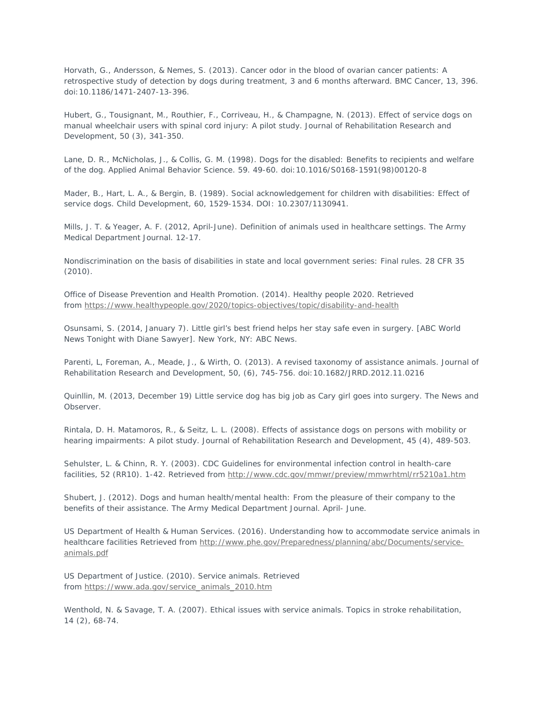Horvath, G., Andersson, & Nemes, S. (2013). Cancer odor in the blood of ovarian cancer patients: A retrospective study of detection by dogs during treatment, 3 and 6 months afterward. *BMC Cancer, 13*, 396. doi:10.1186/1471-2407-13-396.

Hubert, G., Tousignant, M., Routhier, F., Corriveau, H., & Champagne, N. (2013). Effect of service dogs on manual wheelchair users with spinal cord injury: A pilot study. *Journal of Rehabilitation Research and Development, 50* (3), 341-350.

Lane, D. R., McNicholas, J., & Collis, G. M. (1998). Dogs for the disabled: Benefits to recipients and welfare of the dog. *Applied Animal Behavior Science. 59*. 49-60. doi:10.1016/S0168-1591(98)00120-8

Mader, B., Hart, L. A., & Bergin, B. (1989). Social acknowledgement for children with disabilities: Effect of service dogs. *Child Development, 60*, 1529-1534. DOI: 10.2307/1130941.

Mills, J. T. & Yeager, A. F. (2012, April-June). Definition of animals used in healthcare settings. *The Army Medical Department Journal.* 12-17.

Nondiscrimination on the basis of disabilities in state and local government series: Final rules. 28 CFR 35 (2010).

Office of Disease Prevention and Health Promotion. (2014). *Healthy people 2020*. Retrieved from https://www.healthypeople.gov/2020/topics-objectives/topic/disability-and-health

Osunsami, S. (2014, January 7). Little girl's best friend helps her stay safe even in surgery. [*ABC World News Tonight with Diane Sawyer*]. New York, NY: ABC News.

Parenti, L, Foreman, A., Meade, J., & Wirth, O. (2013). A revised taxonomy of assistance animals. *Journal of Rehabilitation Research and Development, 50,* (6), 745-756. doi:10.1682/JRRD.2012.11.0216

Quinllin, M. (2013, December 19) Little service dog has big job as Cary girl goes into surgery. *The News and Observer.*

Rintala, D. H. Matamoros, R., & Seitz, L. L. (2008). Effects of assistance dogs on persons with mobility or hearing impairments: A pilot study. *Journal of Rehabilitation Research and Development, 45* (4), 489-503.

Sehulster, L. & Chinn, R. Y. (2003). CDC Guidelines for environmental infection control in health-care facilities, 52 (RR10). 1-42. Retrieved from http://www.cdc.gov/mmwr/preview/mmwrhtml/rr5210a1.htm

Shubert, J. (2012). Dogs and human health/mental health: From the pleasure of their company to the benefits of their assistance. *The Army Medical Department Journal.* April- June.

US Department of Health & Human Services. (2016). Understanding how to accommodate service animals in healthcare facilities Retrieved from http://www.phe.gov/Preparedness/planning/abc/Documents/serviceanimals.pdf

US Department of Justice. (2010). *Service animals*. Retrieved from https://www.ada.gov/service\_animals\_2010.htm

Wenthold, N. & Savage, T. A. (2007). Ethical issues with service animals. *Topics in stroke rehabilitation, 14* (2), 68-74.